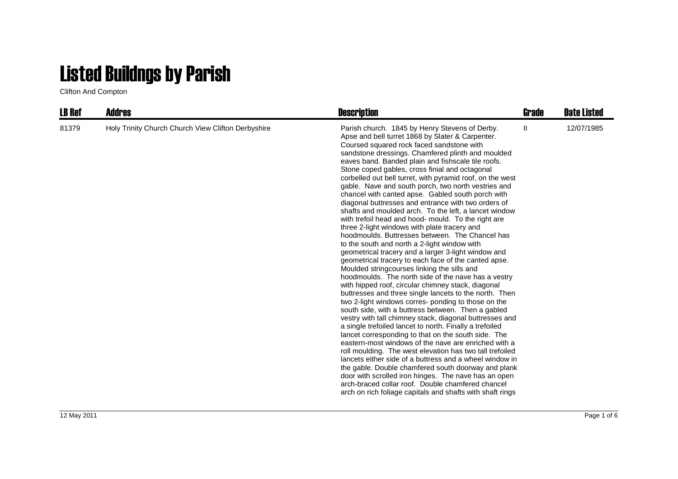## Listed Buildngs by Parish

Clifton And Compton

| <b>LB Ref</b> | <b>Addres</b>                                      | <b>Description</b>                                                                                                                                                                                                                                                                                                                                                                                                                                                                                                                                                                                                                                                                                                                                                                                                                                                                                                                                                                                                                                                                                                                                                                                                                                                                                                                                                                                                                                                                                                                                                                                                                                                                                                                                                                                                                                            | Grade | <b>Date Listed</b> |
|---------------|----------------------------------------------------|---------------------------------------------------------------------------------------------------------------------------------------------------------------------------------------------------------------------------------------------------------------------------------------------------------------------------------------------------------------------------------------------------------------------------------------------------------------------------------------------------------------------------------------------------------------------------------------------------------------------------------------------------------------------------------------------------------------------------------------------------------------------------------------------------------------------------------------------------------------------------------------------------------------------------------------------------------------------------------------------------------------------------------------------------------------------------------------------------------------------------------------------------------------------------------------------------------------------------------------------------------------------------------------------------------------------------------------------------------------------------------------------------------------------------------------------------------------------------------------------------------------------------------------------------------------------------------------------------------------------------------------------------------------------------------------------------------------------------------------------------------------------------------------------------------------------------------------------------------------|-------|--------------------|
| 81379         | Holy Trinity Church Church View Clifton Derbyshire | Parish church. 1845 by Henry Stevens of Derby.<br>Apse and bell turret 1868 by Slater & Carpenter.<br>Coursed squared rock faced sandstone with<br>sandstone dressings. Chamfered plinth and moulded<br>eaves band. Banded plain and fishscale tile roofs.<br>Stone coped gables, cross finial and octagonal<br>corbelled out bell turret, with pyramid roof, on the west<br>gable. Nave and south porch, two north vestries and<br>chancel with canted apse. Gabled south porch with<br>diagonal buttresses and entrance with two orders of<br>shafts and moulded arch. To the left, a lancet window<br>with trefoil head and hood- mould. To the right are<br>three 2-light windows with plate tracery and<br>hoodmoulds. Buttresses between. The Chancel has<br>to the south and north a 2-light window with<br>geometrical tracery and a larger 3-light window and<br>geometrical tracery to each face of the canted apse.<br>Moulded stringcourses linking the sills and<br>hoodmoulds. The north side of the nave has a vestry<br>with hipped roof, circular chimney stack, diagonal<br>buttresses and three single lancets to the north. Then<br>two 2-light windows corres-ponding to those on the<br>south side, with a buttress between. Then a gabled<br>vestry with tall chimney stack, diagonal buttresses and<br>a single trefoiled lancet to north. Finally a trefoiled<br>lancet corresponding to that on the south side. The<br>eastern-most windows of the nave are enriched with a<br>roll moulding. The west elevation has two tall trefoiled<br>lancets either side of a buttress and a wheel window in<br>the gable. Double chamfered south doorway and plank<br>door with scrolled iron hinges. The nave has an open<br>arch-braced collar roof. Double chamfered chancel<br>arch on rich foliage capitals and shafts with shaft rings | Ш     | 12/07/1985         |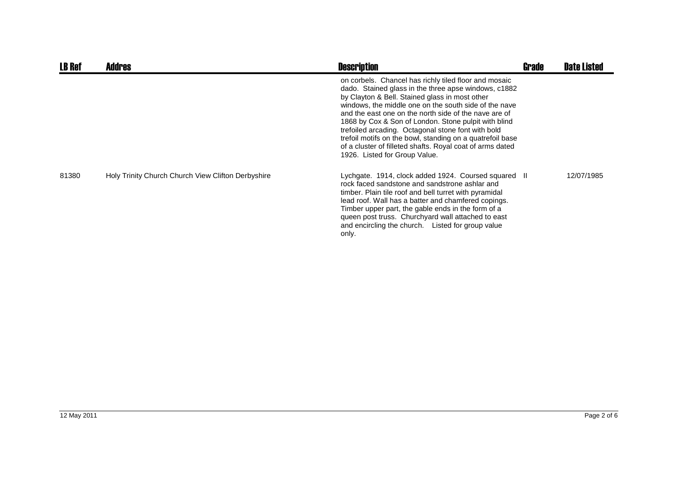| <b>LB Ref</b> | <b>Addres</b>                                      | <b>Description</b>                                                                                                                                                                                                                                                                                                                                                                                                                                                                                                                                         | Grade | <b>Date Listed</b> |
|---------------|----------------------------------------------------|------------------------------------------------------------------------------------------------------------------------------------------------------------------------------------------------------------------------------------------------------------------------------------------------------------------------------------------------------------------------------------------------------------------------------------------------------------------------------------------------------------------------------------------------------------|-------|--------------------|
|               |                                                    | on corbels. Chancel has richly tiled floor and mosaic<br>dado. Stained glass in the three apse windows, c1882<br>by Clayton & Bell. Stained glass in most other<br>windows, the middle one on the south side of the nave<br>and the east one on the north side of the nave are of<br>1868 by Cox & Son of London. Stone pulpit with blind<br>trefoiled arcading. Octagonal stone font with bold<br>trefoil motifs on the bowl, standing on a quatrefoil base<br>of a cluster of filleted shafts. Royal coat of arms dated<br>1926. Listed for Group Value. |       |                    |
| 81380         | Holy Trinity Church Church View Clifton Derbyshire | Lychgate. 1914, clock added 1924. Coursed squared II<br>rock faced sandstone and sandstrone ashlar and<br>timber. Plain tile roof and bell turret with pyramidal<br>lead roof. Wall has a batter and chamfered copings.<br>Timber upper part, the gable ends in the form of a<br>queen post truss. Churchyard wall attached to east<br>and encircling the church. Listed for group value<br>only.                                                                                                                                                          |       | 12/07/1985         |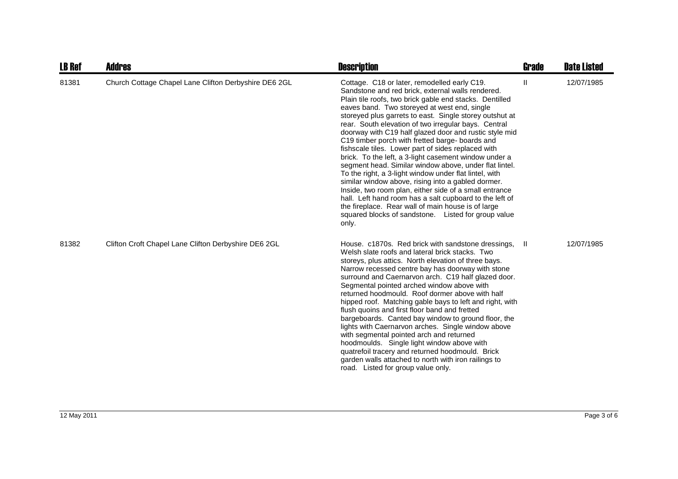| <b>LB Ref</b> | <b>Addres</b>                                         | <b>Description</b>                                                                                                                                                                                                                                                                                                                                                                                                                                                                                                                                                                                                                                                                                                                                                                                                                                                                                                                                                               | <b>Grade</b> | <b>Date Listed</b> |
|---------------|-------------------------------------------------------|----------------------------------------------------------------------------------------------------------------------------------------------------------------------------------------------------------------------------------------------------------------------------------------------------------------------------------------------------------------------------------------------------------------------------------------------------------------------------------------------------------------------------------------------------------------------------------------------------------------------------------------------------------------------------------------------------------------------------------------------------------------------------------------------------------------------------------------------------------------------------------------------------------------------------------------------------------------------------------|--------------|--------------------|
| 81381         | Church Cottage Chapel Lane Clifton Derbyshire DE6 2GL | Cottage. C18 or later, remodelled early C19.<br>Sandstone and red brick, external walls rendered.<br>Plain tile roofs, two brick gable end stacks. Dentilled<br>eaves band. Two storeyed at west end, single<br>storeyed plus garrets to east. Single storey outshut at<br>rear. South elevation of two irregular bays. Central<br>doorway with C19 half glazed door and rustic style mid<br>C19 timber porch with fretted barge- boards and<br>fishscale tiles. Lower part of sides replaced with<br>brick. To the left, a 3-light casement window under a<br>segment head. Similar window above, under flat lintel.<br>To the right, a 3-light window under flat lintel, with<br>similar window above, rising into a gabled dormer.<br>Inside, two room plan, either side of a small entrance<br>hall. Left hand room has a salt cupboard to the left of<br>the fireplace. Rear wall of main house is of large<br>squared blocks of sandstone. Listed for group value<br>only. | $\mathbf{H}$ | 12/07/1985         |
| 81382         | Clifton Croft Chapel Lane Clifton Derbyshire DE6 2GL  | House. c1870s. Red brick with sandstone dressings,<br>Welsh slate roofs and lateral brick stacks. Two<br>storeys, plus attics. North elevation of three bays.<br>Narrow recessed centre bay has doorway with stone<br>surround and Caernarvon arch. C19 half glazed door.<br>Segmental pointed arched window above with<br>returned hoodmould. Roof dormer above with half<br>hipped roof. Matching gable bays to left and right, with<br>flush quoins and first floor band and fretted<br>bargeboards. Canted bay window to ground floor, the<br>lights with Caernarvon arches. Single window above<br>with segmental pointed arch and returned<br>hoodmoulds. Single light window above with<br>quatrefoil tracery and returned hoodmould. Brick<br>garden walls attached to north with iron railings to<br>road. Listed for group value only.                                                                                                                                 | - II         | 12/07/1985         |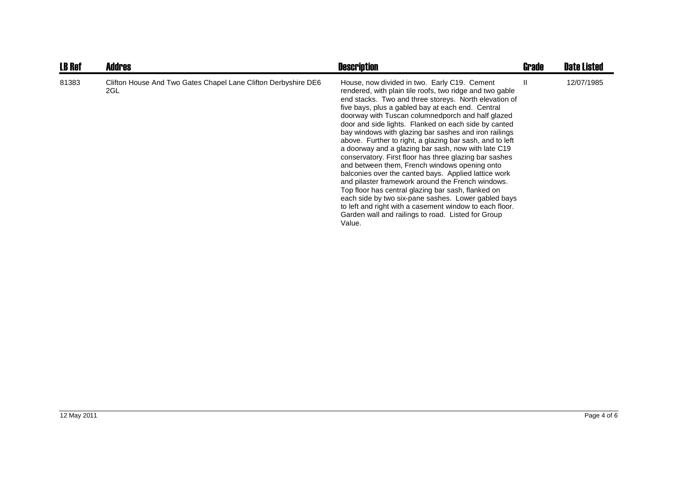| <b>LB Ref</b> | <b>Addres</b>                                                         | <b>Description</b>                                                                                                                                                                                                                                                                                                                                                                                                                                                                                                                                                                                                                                                                                                                                                                                                                                                                                                                                                              | <b>Grade</b> | <b>Date Listed</b> |
|---------------|-----------------------------------------------------------------------|---------------------------------------------------------------------------------------------------------------------------------------------------------------------------------------------------------------------------------------------------------------------------------------------------------------------------------------------------------------------------------------------------------------------------------------------------------------------------------------------------------------------------------------------------------------------------------------------------------------------------------------------------------------------------------------------------------------------------------------------------------------------------------------------------------------------------------------------------------------------------------------------------------------------------------------------------------------------------------|--------------|--------------------|
| 81383         | Clifton House And Two Gates Chapel Lane Clifton Derbyshire DE6<br>2GL | House, now divided in two. Early C19. Cement<br>rendered, with plain tile roofs, two ridge and two gable<br>end stacks. Two and three storeys. North elevation of<br>five bays, plus a gabled bay at each end. Central<br>doorway with Tuscan columnedporch and half glazed<br>door and side lights. Flanked on each side by canted<br>bay windows with glazing bar sashes and iron railings<br>above. Further to right, a glazing bar sash, and to left<br>a doorway and a glazing bar sash, now with late C19<br>conservatory. First floor has three glazing bar sashes<br>and between them, French windows opening onto<br>balconies over the canted bays. Applied lattice work<br>and pilaster framework around the French windows.<br>Top floor has central glazing bar sash, flanked on<br>each side by two six-pane sashes. Lower gabled bays<br>to left and right with a casement window to each floor.<br>Garden wall and railings to road. Listed for Group<br>Value. | H.           | 12/07/1985         |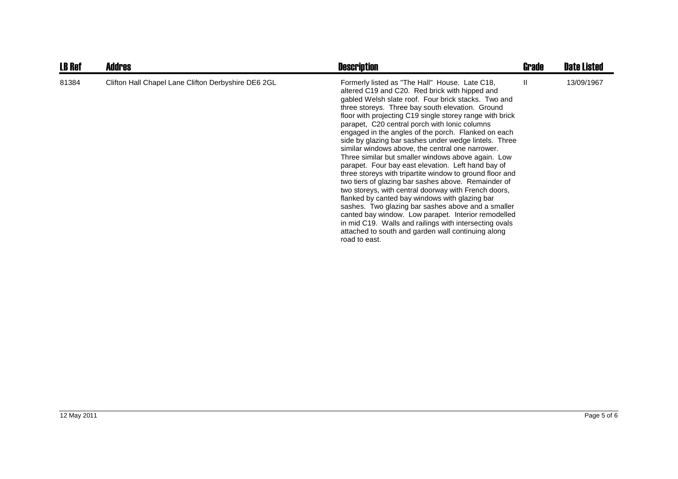| <b>LB Ref</b> | <b>Addres</b>                                       | <b>Description</b>                                                                                                                                                                                                                                                                                                                                                                                                                                                                                                                                                                                                                                                                                                                                                                                                                                                                                                                                                                                                                                                                  | Grade        | <b>Date Listed</b> |
|---------------|-----------------------------------------------------|-------------------------------------------------------------------------------------------------------------------------------------------------------------------------------------------------------------------------------------------------------------------------------------------------------------------------------------------------------------------------------------------------------------------------------------------------------------------------------------------------------------------------------------------------------------------------------------------------------------------------------------------------------------------------------------------------------------------------------------------------------------------------------------------------------------------------------------------------------------------------------------------------------------------------------------------------------------------------------------------------------------------------------------------------------------------------------------|--------------|--------------------|
| 81384         | Clifton Hall Chapel Lane Clifton Derbyshire DE6 2GL | Formerly listed as "The Hall" House. Late C18,<br>altered C19 and C20. Red brick with hipped and<br>gabled Welsh slate roof. Four brick stacks. Two and<br>three storeys. Three bay south elevation. Ground<br>floor with projecting C19 single storey range with brick<br>parapet, C20 central porch with lonic columns<br>engaged in the angles of the porch. Flanked on each<br>side by glazing bar sashes under wedge lintels. Three<br>similar windows above, the central one narrower.<br>Three similar but smaller windows above again. Low<br>parapet. Four bay east elevation. Left hand bay of<br>three storeys with tripartite window to ground floor and<br>two tiers of glazing bar sashes above. Remainder of<br>two storeys, with central doorway with French doors,<br>flanked by canted bay windows with glazing bar<br>sashes. Two glazing bar sashes above and a smaller<br>canted bay window. Low parapet. Interior remodelled<br>in mid C19. Walls and railings with intersecting ovals<br>attached to south and garden wall continuing along<br>road to east. | $\mathbf{I}$ | 13/09/1967         |